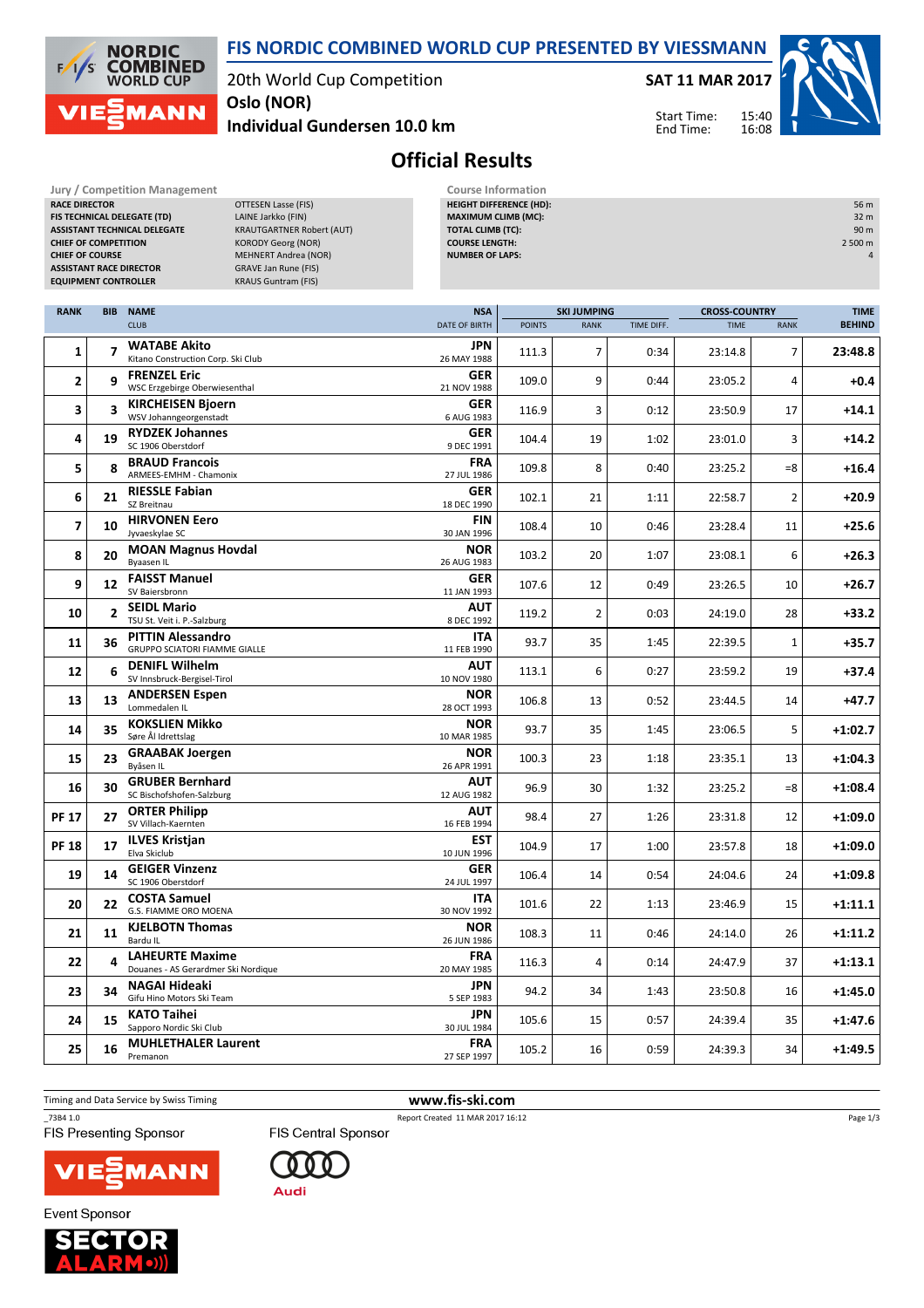20th World Cup Competition **Oslo (NOR)**

**Jury / Competition Management Course Information**<br>**RACE DIRECTOR COURSE AGE OF THE COURSE AGES COURSE AGES COURSE AGES COURSE AGES COURSE AGES COURSE AGES COURS COURS COURS COURS COURS COURS CO** *<u>OTTESEN</u>* Lasse (FIS)

**NORDIC COMBINED**<br>WORLD CUP

**MANN** 

 $\sqrt{ }$ 'S

**Individual Gundersen 10.0 km**

**SAT 11 MAR 2017**

15:40 16:08 Start Time: End Time:

**HEIGHT DIFFERENCE (HD):** 56 m **MAXIMUM CLIMB (MC):** 32 m



## **Official Results**

**FIS NORDIC COMBINED WORLD CUP PRESENTED BY VIESSMANN**

| FIS TECHNICAL DELEGATE (TD)<br>LAINE Jarkko (FIN)<br><b>MAXIMUM CLIMB (MC):</b><br>32 m<br><b>ASSISTANT TECHNICAL DELEGATE</b><br><b>KRAUTGARTNER Robert (AUT)</b><br><b>TOTAL CLIMB (TC):</b><br>90 m<br><b>COURSE LENGTH:</b><br>2 500 m<br><b>CHIEF OF COMPETITION</b><br><b>KORODY Georg (NOR)</b><br><b>CHIEF OF COURSE</b><br><b>MEHNERT Andrea (NOR)</b><br><b>NUMBER OF LAPS:</b><br>$\overline{4}$<br><b>ASSISTANT RACE DIRECTOR</b><br><b>GRAVE Jan Rune (FIS)</b><br><b>EQUIPMENT CONTROLLER</b><br><b>KRAUS Guntram (FIS)</b> |                           |                                                                  |  |                                  |               |                |            |                                     |             |               |  |
|-------------------------------------------------------------------------------------------------------------------------------------------------------------------------------------------------------------------------------------------------------------------------------------------------------------------------------------------------------------------------------------------------------------------------------------------------------------------------------------------------------------------------------------------|---------------------------|------------------------------------------------------------------|--|----------------------------------|---------------|----------------|------------|-------------------------------------|-------------|---------------|--|
| <b>RANK</b>                                                                                                                                                                                                                                                                                                                                                                                                                                                                                                                               | <b>BIB</b><br><b>NAME</b> |                                                                  |  | <b>NSA</b><br><b>SKI JUMPING</b> |               |                |            | <b>TIME</b><br><b>CROSS-COUNTRY</b> |             |               |  |
|                                                                                                                                                                                                                                                                                                                                                                                                                                                                                                                                           |                           | <b>CLUB</b>                                                      |  | DATE OF BIRTH                    | <b>POINTS</b> | <b>RANK</b>    | TIME DIFF. | <b>TIME</b>                         | <b>RANK</b> | <b>BEHIND</b> |  |
| 1                                                                                                                                                                                                                                                                                                                                                                                                                                                                                                                                         | $\overline{7}$            | <b>WATABE Akito</b><br>Kitano Construction Corp. Ski Club        |  | <b>JPN</b><br>26 MAY 1988        | 111.3         | $\overline{7}$ | 0:34       | 23:14.8                             | 7           | 23:48.8       |  |
| 2                                                                                                                                                                                                                                                                                                                                                                                                                                                                                                                                         | 9                         | <b>FRENZEL Eric</b><br><b>WSC Erzgebirge Oberwiesenthal</b>      |  | <b>GER</b><br>21 NOV 1988        | 109.0         | 9              | 0:44       | 23:05.2                             | 4           | $+0.4$        |  |
| 3                                                                                                                                                                                                                                                                                                                                                                                                                                                                                                                                         | 3                         | <b>KIRCHEISEN Bjoern</b><br>WSV Johanngeorgenstadt               |  | <b>GER</b><br>6 AUG 1983         | 116.9         | 3              | 0:12       | 23:50.9                             | 17          | $+14.1$       |  |
| 4                                                                                                                                                                                                                                                                                                                                                                                                                                                                                                                                         | 19                        | <b>RYDZEK Johannes</b><br>SC 1906 Oberstdorf                     |  | <b>GER</b><br>9 DEC 1991         | 104.4         | 19             | 1:02       | 23:01.0                             | 3           | $+14.2$       |  |
| 5                                                                                                                                                                                                                                                                                                                                                                                                                                                                                                                                         | 8                         | <b>BRAUD Francois</b><br>ARMEES-EMHM - Chamonix                  |  | <b>FRA</b><br>27 JUL 1986        | 109.8         | 8              | 0:40       | 23:25.2                             | $= 8$       | $+16.4$       |  |
| 6                                                                                                                                                                                                                                                                                                                                                                                                                                                                                                                                         | 21                        | <b>RIESSLE Fabian</b><br>SZ Breitnau                             |  | <b>GER</b><br>18 DEC 1990        | 102.1         | 21             | 1:11       | 22:58.7                             | 2           | $+20.9$       |  |
| $\overline{7}$                                                                                                                                                                                                                                                                                                                                                                                                                                                                                                                            | 10                        | <b>HIRVONEN Eero</b><br>Jyvaeskylae SC                           |  | FIN<br>30 JAN 1996               | 108.4         | 10             | 0:46       | 23:28.4                             | 11          | $+25.6$       |  |
| 8                                                                                                                                                                                                                                                                                                                                                                                                                                                                                                                                         | 20                        | <b>MOAN Magnus Hovdal</b><br>Byaasen IL                          |  | <b>NOR</b><br>26 AUG 1983        | 103.2         | 20             | 1:07       | 23:08.1                             | 6           | $+26.3$       |  |
| 9                                                                                                                                                                                                                                                                                                                                                                                                                                                                                                                                         | 12                        | <b>FAISST Manuel</b><br>SV Baiersbronn                           |  | <b>GER</b><br>11 JAN 1993        | 107.6         | 12             | 0:49       | 23:26.5                             | 10          | $+26.7$       |  |
| 10                                                                                                                                                                                                                                                                                                                                                                                                                                                                                                                                        | 2                         | <b>SEIDL Mario</b><br>TSU St. Veit i. P.-Salzburg                |  | AUT<br>8 DEC 1992                | 119.2         | $\overline{2}$ | 0:03       | 24:19.0                             | 28          | $+33.2$       |  |
| 11                                                                                                                                                                                                                                                                                                                                                                                                                                                                                                                                        | 36                        | <b>PITTIN Alessandro</b><br><b>GRUPPO SCIATORI FIAMME GIALLE</b> |  | ITA<br>11 FEB 1990               | 93.7          | 35             | 1:45       | 22:39.5                             | 1           | $+35.7$       |  |
| 12                                                                                                                                                                                                                                                                                                                                                                                                                                                                                                                                        | 6                         | <b>DENIFL Wilhelm</b><br>SV Innsbruck-Bergisel-Tirol             |  | <b>AUT</b><br>10 NOV 1980        | 113.1         | 6              | 0:27       | 23:59.2                             | 19          | $+37.4$       |  |
| 13                                                                                                                                                                                                                                                                                                                                                                                                                                                                                                                                        | 13                        | <b>ANDERSEN Espen</b><br>Lommedalen IL                           |  | <b>NOR</b><br>28 OCT 1993        | 106.8         | 13             | 0:52       | 23:44.5                             | 14          | $+47.7$       |  |
| 14                                                                                                                                                                                                                                                                                                                                                                                                                                                                                                                                        | 35                        | <b>KOKSLIEN Mikko</b><br>Søre Ål Idrettslag                      |  | <b>NOR</b><br>10 MAR 1985        | 93.7          | 35             | 1:45       | 23:06.5                             | 5           | $+1:02.7$     |  |
| 15                                                                                                                                                                                                                                                                                                                                                                                                                                                                                                                                        | 23                        | <b>GRAABAK Joergen</b><br>Byåsen IL                              |  | <b>NOR</b><br>26 APR 1991        | 100.3         | 23             | 1:18       | 23:35.1                             | 13          | $+1:04.3$     |  |
| 16                                                                                                                                                                                                                                                                                                                                                                                                                                                                                                                                        | 30                        | <b>GRUBER Bernhard</b><br>SC Bischofshofen-Salzburg              |  | AUT<br>12 AUG 1982               | 96.9          | 30             | 1:32       | 23:25.2                             | $= 8$       | $+1:08.4$     |  |
| <b>PF 17</b>                                                                                                                                                                                                                                                                                                                                                                                                                                                                                                                              | 27                        | <b>ORTER Philipp</b><br>SV Villach-Kaernten                      |  | AUT<br>16 FEB 1994               | 98.4          | 27             | 1:26       | 23:31.8                             | 12          | +1:09.0       |  |
| <b>PF 18</b>                                                                                                                                                                                                                                                                                                                                                                                                                                                                                                                              | 17                        | <b>ILVES Kristjan</b><br>Elva Skiclub                            |  | <b>EST</b><br>10 JUN 1996        | 104.9         | 17             | 1:00       | 23:57.8                             | 18          | $+1:09.0$     |  |
| 19                                                                                                                                                                                                                                                                                                                                                                                                                                                                                                                                        | 14                        | <b>GEIGER Vinzenz</b><br>SC 1906 Oberstdorf                      |  | <b>GER</b><br>24 JUL 1997        | 106.4         | 14             | 0:54       | 24:04.6                             | 24          | +1:09.8       |  |
| 20                                                                                                                                                                                                                                                                                                                                                                                                                                                                                                                                        | 22                        | <b>COSTA Samuel</b><br>G.S. FIAMME ORO MOENA                     |  | <b>ITA</b><br>30 NOV 1992        | 101.6         | 22             | 1:13       | 23:46.9                             | 15          | +1:11.1       |  |
| 21                                                                                                                                                                                                                                                                                                                                                                                                                                                                                                                                        | 11                        | <b>KJELBOTN Thomas</b><br>Bardu IL                               |  | <b>NOR</b><br>26 JUN 1986        | 108.3         | 11             | 0:46       | 24:14.0                             | 26          | $+1:11.2$     |  |
| 22                                                                                                                                                                                                                                                                                                                                                                                                                                                                                                                                        | 4                         | <b>LAHEURTE Maxime</b><br>Douanes - AS Gerardmer Ski Nordique    |  | <b>FRA</b><br>20 MAY 1985        | 116.3         | 4              | 0:14       | 24:47.9                             | 37          | $+1:13.1$     |  |
| 23                                                                                                                                                                                                                                                                                                                                                                                                                                                                                                                                        | 34                        | NAGAI Hideaki<br>Gifu Hino Motors Ski Team                       |  | JPN<br>5 SEP 1983                | 94.2          | 34             | 1:43       | 23:50.8                             | 16          | $+1:45.0$     |  |
| 24                                                                                                                                                                                                                                                                                                                                                                                                                                                                                                                                        | 15                        | <b>KATO Taihei</b><br>Sapporo Nordic Ski Club                    |  | JPN<br>30 JUL 1984               | 105.6         | 15             | 0:57       | 24:39.4                             | 35          | $+1:47.6$     |  |
| 25                                                                                                                                                                                                                                                                                                                                                                                                                                                                                                                                        | 16                        | <b>MUHLETHALER Laurent</b><br>Premanon                           |  | <b>FRA</b><br>27 SEP 1997        | 105.2         | 16             | 0:59       | 24:39.3                             | 34          | +1:49.5       |  |

Timing and Data Service by Swiss Timing **www.fis-ski.com**

**FIS Presenting Sponsor** 



00

**Audi** 

\_73B4 1.0 Report Created 11 MAR 2017 16:12 **FIS Central Sponsor** 

Page 1/3



**Event Sponsor** 

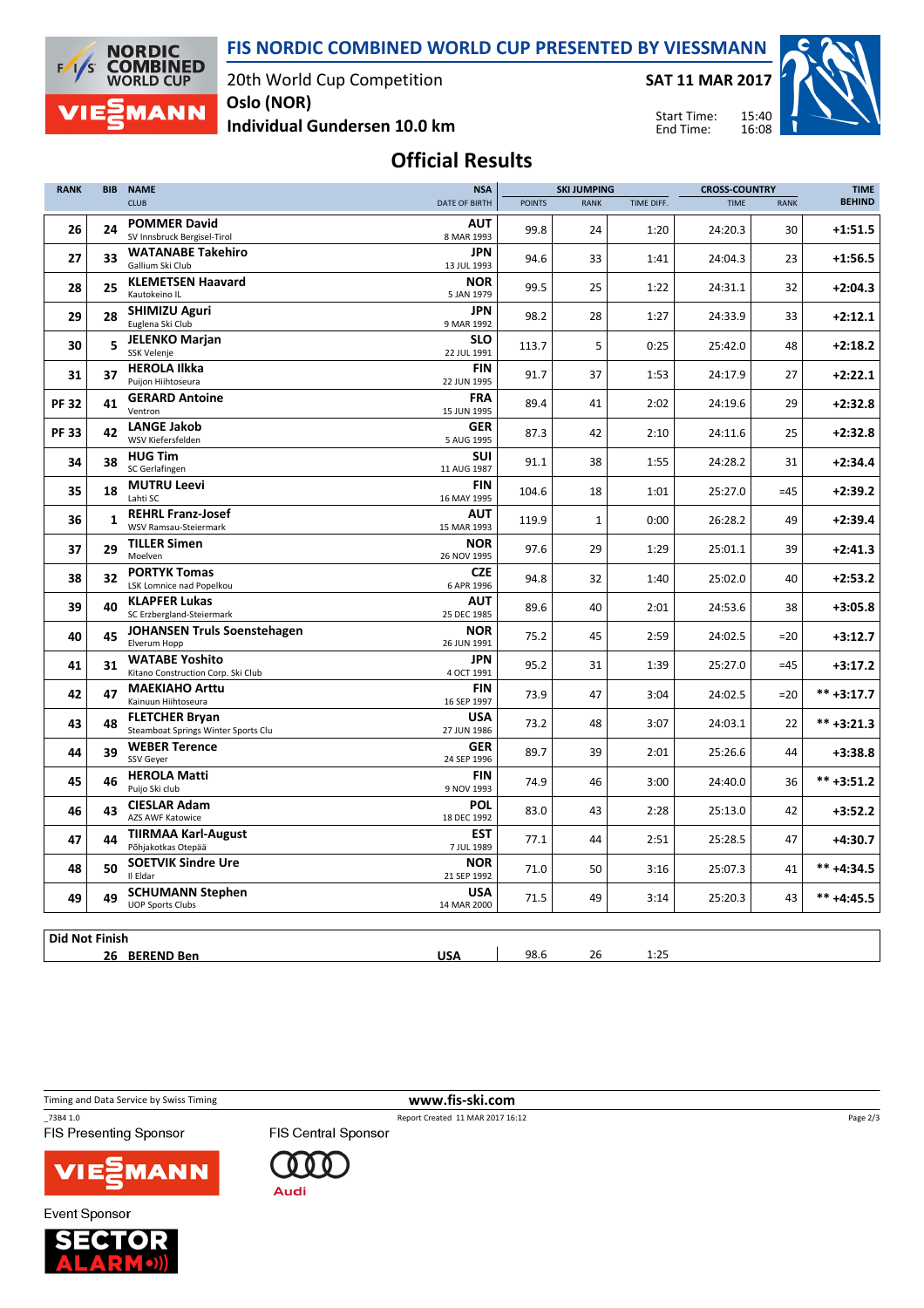**FIS NORDIC COMBINED WORLD CUP PRESENTED BY VIESSMANN**



20th World Cup Competition **Oslo (NOR)**

**SAT 11 MAR 2017**

Start Time: End Time:

15:40



**Individual Gundersen 10.0 km**

## **Official Results**

| <b>RANK</b> | <b>BIB</b>            | <b>NAME</b><br><b>NSA</b>                                    |                           |               |             | <b>SKI JUMPING</b> |             | <b>CROSS-COUNTRY</b> |               |
|-------------|-----------------------|--------------------------------------------------------------|---------------------------|---------------|-------------|--------------------|-------------|----------------------|---------------|
|             |                       | <b>CLUB</b>                                                  | DATE OF BIRTH             | <b>POINTS</b> | <b>RANK</b> | TIME DIFF.         | <b>TIME</b> | <b>RANK</b>          | <b>BEHIND</b> |
| 26          | 24                    | <b>POMMER David</b><br>SV Innsbruck Bergisel-Tirol           | <b>AUT</b><br>8 MAR 1993  | 99.8          | 24          | 1:20               | 24:20.3     | 30                   | $+1:51.5$     |
| 27          | 33                    | <b>WATANABE Takehiro</b><br>Gallium Ski Club                 | JPN<br>13 JUL 1993        | 94.6          | 33          | 1:41               | 24:04.3     | 23                   | $+1:56.5$     |
| 28          | 25                    | <b>KLEMETSEN Haavard</b><br>Kautokeino IL                    | <b>NOR</b><br>5 JAN 1979  | 99.5          | 25          | 1:22               | 24:31.1     | 32                   | $+2:04.3$     |
| 29          | 28                    | <b>SHIMIZU Aguri</b><br>Euglena Ski Club                     | <b>JPN</b><br>9 MAR 1992  | 98.2          | 28          | 1:27               | 24:33.9     | 33                   | $+2:12.1$     |
| 30          | 5                     | <b>JELENKO Marjan</b><br>SSK Velenje                         | <b>SLO</b><br>22 JUL 1991 | 113.7         | 5           | 0:25               | 25:42.0     | 48                   | $+2:18.2$     |
| 31          | 37                    | <b>HEROLA Ilkka</b><br>Puijon Hiihtoseura                    | <b>FIN</b><br>22 JUN 1995 | 91.7          | 37          | 1:53               | 24:17.9     | 27                   | $+2:22.1$     |
| <b>PF32</b> | 41                    | <b>GERARD Antoine</b><br>Ventron                             | <b>FRA</b><br>15 JUN 1995 | 89.4          | 41          | 2:02               | 24:19.6     | 29                   | $+2:32.8$     |
| <b>PF33</b> | 42                    | <b>LANGE Jakob</b><br>WSV Kiefersfelden                      | <b>GER</b><br>5 AUG 1995  | 87.3          | 42          | 2:10               | 24:11.6     | 25                   | $+2:32.8$     |
| 34          | 38                    | <b>HUG Tim</b><br>SC Gerlafingen                             | <b>SUI</b><br>11 AUG 1987 | 91.1          | 38          | 1:55               | 24:28.2     | 31                   | $+2:34.4$     |
| 35          | 18                    | <b>MUTRU Leevi</b><br>Lahti SC                               | <b>FIN</b><br>16 MAY 1995 | 104.6         | 18          | 1:01               | 25:27.0     | $=45$                | $+2:39.2$     |
| 36          | $\mathbf{1}$          | <b>REHRL Franz-Josef</b><br>WSV Ramsau-Steiermark            | <b>AUT</b><br>15 MAR 1993 | 119.9         | 1           | 0:00               | 26:28.2     | 49                   | $+2:39.4$     |
| 37          | 29                    | <b>TILLER Simen</b><br>Moelven                               | <b>NOR</b><br>26 NOV 1995 | 97.6          | 29          | 1:29               | 25:01.1     | 39                   | $+2:41.3$     |
| 38          | 32                    | <b>PORTYK Tomas</b><br>LSK Lomnice nad Popelkou              | <b>CZE</b><br>6 APR 1996  | 94.8          | 32          | 1:40               | 25:02.0     | 40                   | $+2:53.2$     |
| 39          | 40                    | <b>KLAPFER Lukas</b><br>SC Erzbergland-Steiermark            | <b>AUT</b><br>25 DEC 1985 | 89.6          | 40          | 2:01               | 24:53.6     | 38                   | $+3:05.8$     |
| 40          | 45                    | <b>JOHANSEN Truls Soenstehagen</b><br>Elverum Hopp           | <b>NOR</b><br>26 JUN 1991 | 75.2          | 45          | 2:59               | 24:02.5     | $=20$                | $+3:12.7$     |
| 41          | 31                    | <b>WATABE Yoshito</b><br>Kitano Construction Corp. Ski Club  | <b>JPN</b><br>4 OCT 1991  | 95.2          | 31          | 1:39               | 25:27.0     | $=45$                | $+3:17.2$     |
| 42          | 47                    | <b>MAEKIAHO Arttu</b><br>Kainuun Hiihtoseura                 | <b>FIN</b><br>16 SEP 1997 | 73.9          | 47          | 3:04               | 24:02.5     | $=20$                | $*** +3:17.7$ |
| 43          | 48                    | <b>FLETCHER Bryan</b><br>Steamboat Springs Winter Sports Clu | <b>USA</b><br>27 JUN 1986 | 73.2          | 48          | 3:07               | 24:03.1     | 22                   | $*** +3:21.3$ |
| 44          | 39                    | <b>WEBER Terence</b><br>SSV Geyer                            | <b>GER</b><br>24 SEP 1996 | 89.7          | 39          | 2:01               | 25:26.6     | 44                   | $+3:38.8$     |
| 45          | 46                    | <b>HEROLA Matti</b><br>Puijo Ski club                        | <b>FIN</b><br>9 NOV 1993  | 74.9          | 46          | 3:00               | 24:40.0     | 36                   | $*** +3:51.2$ |
| 46          | 43                    | <b>CIESLAR Adam</b><br><b>AZS AWF Katowice</b>               | <b>POL</b><br>18 DEC 1992 | 83.0          | 43          | 2:28               | 25:13.0     | 42                   | $+3:52.2$     |
| 47          | 44                    | <b>TIIRMAA Karl-August</b><br>Põhjakotkas Otepää             | EST<br>7 JUL 1989         | 77.1          | 44          | 2:51               | 25:28.5     | 47                   | +4:30.7       |
| 48          | 50                    | <b>SOETVIK Sindre Ure</b><br>Il Eldar                        | <b>NOR</b><br>21 SEP 1992 | 71.0          | 50          | 3:16               | 25:07.3     | 41                   | $*** +4:34.5$ |
| 49          | 49                    | <b>SCHUMANN Stephen</b><br><b>UOP Sports Clubs</b>           | <b>USA</b><br>14 MAR 2000 | 71.5          | 49          | 3:14               | 25:20.3     | 43                   | $*** +4:45.5$ |
|             |                       |                                                              |                           |               |             |                    |             |                      |               |
|             | <b>Did Not Finish</b> |                                                              |                           |               |             |                    |             |                      |               |
|             |                       | 26 BEREND Ben                                                | <b>USA</b>                | 98.6          | 26          | 1:25               |             |                      |               |

Timing and Data Service by Swiss Timing **www.fis-ski.com** \_73B4 1.0 Report Created 11 MAR 2017 16:12 Page 2/3**FIS Presenting Sponsor FIS Central Sponsor** 

 $000$ 

**Audi** 



**Event Sponsor**